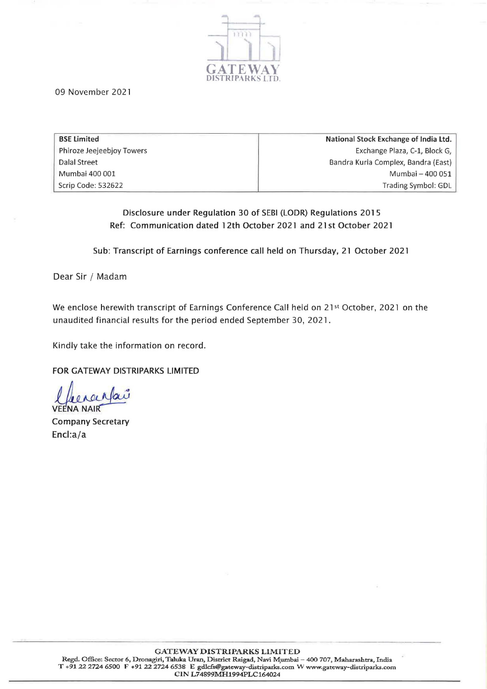

09 November 2021

| <b>BSE Limited</b>        | National Stock Exchange of India Ltd. |
|---------------------------|---------------------------------------|
| Phiroze Jeejeebjoy Towers | Exchange Plaza, C-1, Block G,         |
| Dalal Street              | Bandra Kurla Complex, Bandra (East)   |
| Mumbai 400 001            | Mumbai - 400 051                      |
| Scrip Code: 532622        | Trading Symbol: GDL                   |

### Disclosure under Regulation 30 of SEBI (LODR) Regulations 2015 Ref: Communication dated 12th October 2021 and 21 st October 2021

Sub: Transcript of Earnings conference call held on Thursday, 21 October 2021

Dear Sir / Madam

We enclose herewith transcript of Earnings Conference Call held on 21st October, 2021 on the unaudited financial results for the period ended September 30, 2021.

Kindly take the information on record.

FOR GATEWAY DISTRIPARKS LIMITED

FOR GATEWAY DISTRIPARKS LIMITED<br>Lacalong Company<br>VEENA NAIR<br>Company Secretary

Encl:a/a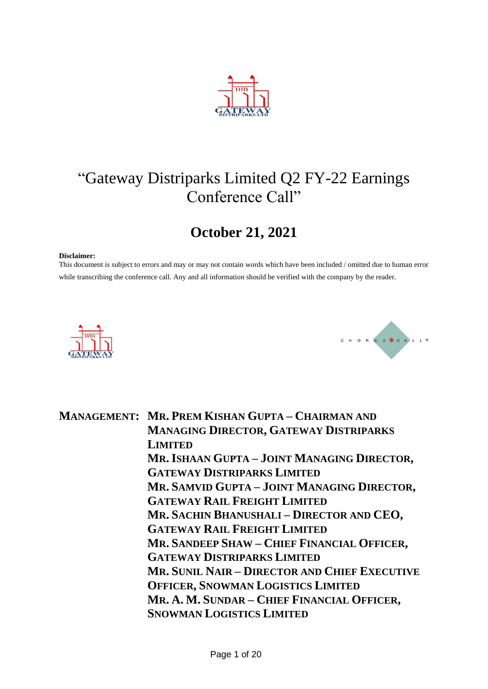

# "Gateway Distriparks Limited Q2 FY-22 Earnings Conference Call"

## **October 21, 2021**

#### **Disclaimer:**

This document is subject to errors and may or may not contain words which have been included / omitted due to human error while transcribing the conference call. Any and all information should be verified with the company by the reader.





**MANAGEMENT: MR. PREM KISHAN GUPTA – CHAIRMAN AND MANAGING DIRECTOR, GATEWAY DISTRIPARKS LIMITED MR. ISHAAN GUPTA – JOINT MANAGING DIRECTOR, GATEWAY DISTRIPARKS LIMITED MR. SAMVID GUPTA – JOINT MANAGING DIRECTOR, GATEWAY RAIL FREIGHT LIMITED MR. SACHIN BHANUSHALI – DIRECTOR AND CEO, GATEWAY RAIL FREIGHT LIMITED MR. SANDEEP SHAW – CHIEF FINANCIAL OFFICER, GATEWAY DISTRIPARKS LIMITED MR. SUNIL NAIR – DIRECTOR AND CHIEF EXECUTIVE OFFICER, SNOWMAN LOGISTICS LIMITED MR. A. M. SUNDAR – CHIEF FINANCIAL OFFICER, SNOWMAN LOGISTICS LIMITED**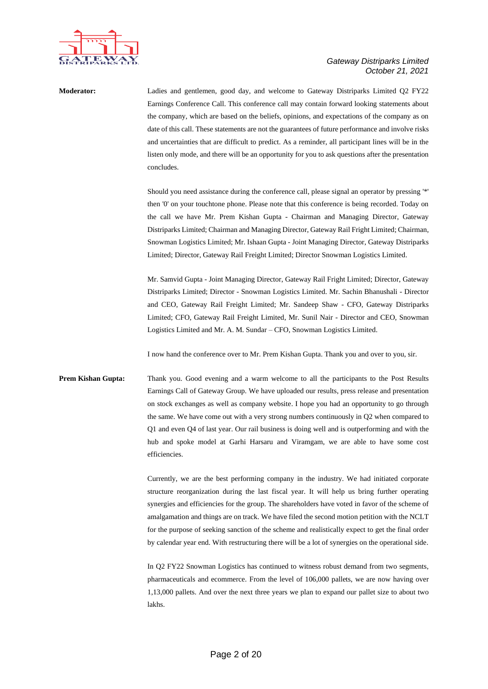

**Moderator:** Ladies and gentlemen, good day, and welcome to Gateway Distriparks Limited Q2 FY22 Earnings Conference Call. This conference call may contain forward looking statements about the company, which are based on the beliefs, opinions, and expectations of the company as on date of this call. These statements are not the guarantees of future performance and involve risks and uncertainties that are difficult to predict. As a reminder, all participant lines will be in the listen only mode, and there will be an opportunity for you to ask questions after the presentation concludes.

> Should you need assistance during the conference call, please signal an operator by pressing '\*' then '0' on your touchtone phone. Please note that this conference is being recorded. Today on the call we have Mr. Prem Kishan Gupta - Chairman and Managing Director, Gateway Distriparks Limited; Chairman and Managing Director, Gateway Rail Fright Limited; Chairman, Snowman Logistics Limited; Mr. Ishaan Gupta - Joint Managing Director, Gateway Distriparks Limited; Director, Gateway Rail Freight Limited; Director Snowman Logistics Limited.

> Mr. Samvid Gupta - Joint Managing Director, Gateway Rail Fright Limited; Director, Gateway Distriparks Limited; Director - Snowman Logistics Limited. Mr. Sachin Bhanushali - Director and CEO, Gateway Rail Freight Limited; Mr. Sandeep Shaw - CFO, Gateway Distriparks Limited; CFO, Gateway Rail Freight Limited, Mr. Sunil Nair - Director and CEO, Snowman Logistics Limited and Mr. A. M. Sundar – CFO, Snowman Logistics Limited.

I now hand the conference over to Mr. Prem Kishan Gupta. Thank you and over to you, sir.

**Prem Kishan Gupta:** Thank you. Good evening and a warm welcome to all the participants to the Post Results Earnings Call of Gateway Group. We have uploaded our results, press release and presentation on stock exchanges as well as company website. I hope you had an opportunity to go through the same. We have come out with a very strong numbers continuously in Q2 when compared to Q1 and even Q4 of last year. Our rail business is doing well and is outperforming and with the hub and spoke model at Garhi Harsaru and Viramgam, we are able to have some cost efficiencies.

> Currently, we are the best performing company in the industry. We had initiated corporate structure reorganization during the last fiscal year. It will help us bring further operating synergies and efficiencies for the group. The shareholders have voted in favor of the scheme of amalgamation and things are on track. We have filed the second motion petition with the NCLT for the purpose of seeking sanction of the scheme and realistically expect to get the final order by calendar year end. With restructuring there will be a lot of synergies on the operational side.

> In Q2 FY22 Snowman Logistics has continued to witness robust demand from two segments, pharmaceuticals and ecommerce. From the level of 106,000 pallets, we are now having over 1,13,000 pallets. And over the next three years we plan to expand our pallet size to about two lakhs.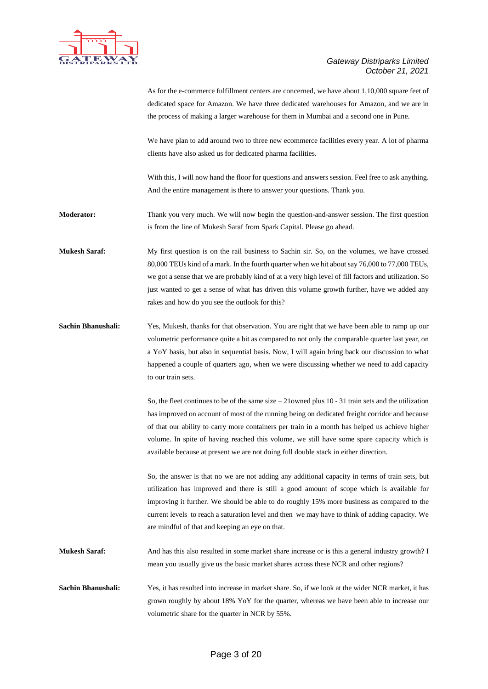

As for the e-commerce fulfillment centers are concerned, we have about 1,10,000 square feet of dedicated space for Amazon. We have three dedicated warehouses for Amazon, and we are in the process of making a larger warehouse for them in Mumbai and a second one in Pune.

We have plan to add around two to three new ecommerce facilities every year. A lot of pharma clients have also asked us for dedicated pharma facilities.

With this, I will now hand the floor for questions and answers session. Feel free to ask anything. And the entire management is there to answer your questions. Thank you.

**Moderator:** Thank you very much. We will now begin the question-and-answer session. The first question is from the line of Mukesh Saraf from Spark Capital. Please go ahead.

**Mukesh Saraf:** My first question is on the rail business to Sachin sir. So, on the volumes, we have crossed 80,000 TEUs kind of a mark. In the fourth quarter when we hit about say 76,000 to 77,000 TEUs, we got a sense that we are probably kind of at a very high level of fill factors and utilization. So just wanted to get a sense of what has driven this volume growth further, have we added any rakes and how do you see the outlook for this?

**Sachin Bhanushali:** Yes, Mukesh, thanks for that observation. You are right that we have been able to ramp up our volumetric performance quite a bit as compared to not only the comparable quarter last year, on a YoY basis, but also in sequential basis. Now, I will again bring back our discussion to what happened a couple of quarters ago, when we were discussing whether we need to add capacity to our train sets.

> So, the fleet continues to be of the same size – 21owned plus 10 - 31 train sets and the utilization has improved on account of most of the running being on dedicated freight corridor and because of that our ability to carry more containers per train in a month has helped us achieve higher volume. In spite of having reached this volume, we still have some spare capacity which is available because at present we are not doing full double stack in either direction.

So, the answer is that no we are not adding any additional capacity in terms of train sets, but utilization has improved and there is still a good amount of scope which is available for improving it further. We should be able to do roughly 15% more business as compared to the current levels to reach a saturation level and then we may have to think of adding capacity. We are mindful of that and keeping an eye on that.

**Mukesh Saraf:** And has this also resulted in some market share increase or is this a general industry growth? I mean you usually give us the basic market shares across these NCR and other regions?

**Sachin Bhanushali:** Yes, it has resulted into increase in market share. So, if we look at the wider NCR market, it has grown roughly by about 18% YoY for the quarter, whereas we have been able to increase our volumetric share for the quarter in NCR by 55%.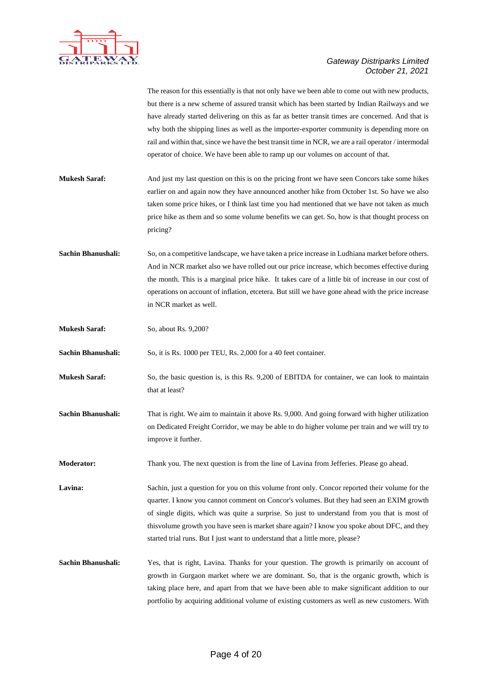

|                           | The reason for this essentially is that not only have we been able to come out with new products,     |
|---------------------------|-------------------------------------------------------------------------------------------------------|
|                           | but there is a new scheme of assured transit which has been started by Indian Railways and we         |
|                           | have already started delivering on this as far as better transit times are concerned. And that is     |
|                           | why both the shipping lines as well as the importer-exporter community is depending more on           |
|                           | rail and within that, since we have the best transit time in NCR, we are a rail operator / intermodal |
|                           | operator of choice. We have been able to ramp up our volumes on account of that.                      |
|                           |                                                                                                       |
| <b>Mukesh Saraf:</b>      | And just my last question on this is on the pricing front we have seen Concors take some hikes        |
|                           | earlier on and again now they have announced another hike from October 1st. So have we also           |
|                           | taken some price hikes, or I think last time you had mentioned that we have not taken as much         |
|                           | price hike as them and so some volume benefits we can get. So, how is that thought process on         |
|                           | pricing?                                                                                              |
|                           |                                                                                                       |
| <b>Sachin Bhanushali:</b> | So, on a competitive landscape, we have taken a price increase in Ludhiana market before others.      |
|                           | And in NCR market also we have rolled out our price increase, which becomes effective during          |
|                           | the month. This is a marginal price hike. It takes care of a little bit of increase in our cost of    |
|                           | operations on account of inflation, etcetera. But still we have gone ahead with the price increase    |
|                           |                                                                                                       |
|                           | in NCR market as well.                                                                                |
| <b>Mukesh Saraf:</b>      | So, about Rs. 9,200?                                                                                  |
| Sachin Bhanushali:        | So, it is Rs. 1000 per TEU, Rs. 2,000 for a 40 feet container.                                        |
| <b>Mukesh Saraf:</b>      | So, the basic question is, is this Rs. 9,200 of EBITDA for container, we can look to maintain         |
|                           | that at least?                                                                                        |
|                           |                                                                                                       |
| Sachin Bhanushali:        | That is right. We aim to maintain it above Rs. 9,000. And going forward with higher utilization       |
|                           | on Dedicated Freight Corridor, we may be able to do higher volume per train and we will try to        |
|                           | improve it further.                                                                                   |
|                           |                                                                                                       |
| Moderator:                | Thank you. The next question is from the line of Lavina from Jefferies. Please go ahead.              |
| Lavina:                   | Sachin, just a question for you on this volume front only. Concor reported their volume for the       |
|                           | quarter. I know you cannot comment on Concor's volumes. But they had seen an EXIM growth              |
|                           | of single digits, which was quite a surprise. So just to understand from you that is most of          |
|                           | this volume growth you have seen is market share again? I know you spoke about DFC, and they          |
|                           |                                                                                                       |
|                           | started trial runs. But I just want to understand that a little more, please?                         |
| Sachin Bhanushali:        | Yes, that is right, Lavina. Thanks for your question. The growth is primarily on account of           |
|                           | growth in Gurgaon market where we are dominant. So, that is the organic growth, which is              |
|                           | taking place here, and apart from that we have been able to make significant addition to our          |
|                           | portfolio by acquiring additional volume of existing customers as well as new customers. With         |
|                           |                                                                                                       |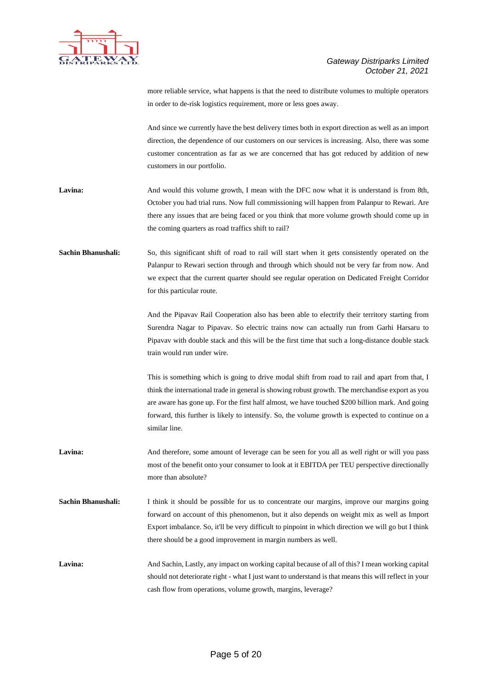

more reliable service, what happens is that the need to distribute volumes to multiple operators in order to de-risk logistics requirement, more or less goes away.

And since we currently have the best delivery times both in export direction as well as an import direction, the dependence of our customers on our services is increasing. Also, there was some customer concentration as far as we are concerned that has got reduced by addition of new customers in our portfolio.

- Lavina: And would this volume growth, I mean with the DFC now what it is understand is from 8th, October you had trial runs. Now full commissioning will happen from Palanpur to Rewari. Are there any issues that are being faced or you think that more volume growth should come up in the coming quarters as road traffics shift to rail?
- **Sachin Bhanushali:** So, this significant shift of road to rail will start when it gets consistently operated on the Palanpur to Rewari section through and through which should not be very far from now. And we expect that the current quarter should see regular operation on Dedicated Freight Corridor for this particular route.

And the Pipavav Rail Cooperation also has been able to electrify their territory starting from Surendra Nagar to Pipavav. So electric trains now can actually run from Garhi Harsaru to Pipavav with double stack and this will be the first time that such a long-distance double stack train would run under wire.

This is something which is going to drive modal shift from road to rail and apart from that, I think the international trade in general is showing robust growth. The merchandise export as you are aware has gone up. For the first half almost, we have touched \$200 billion mark. And going forward, this further is likely to intensify. So, the volume growth is expected to continue on a similar line.

- Lavina: And therefore, some amount of leverage can be seen for you all as well right or will you pass most of the benefit onto your consumer to look at it EBITDA per TEU perspective directionally more than absolute?
- **Sachin Bhanushali:** I think it should be possible for us to concentrate our margins, improve our margins going forward on account of this phenomenon, but it also depends on weight mix as well as Import Export imbalance. So, it'll be very difficult to pinpoint in which direction we will go but I think there should be a good improvement in margin numbers as well.

Lavina: And Sachin, Lastly, any impact on working capital because of all of this? I mean working capital should not deteriorate right - what I just want to understand is that means this will reflect in your cash flow from operations, volume growth, margins, leverage?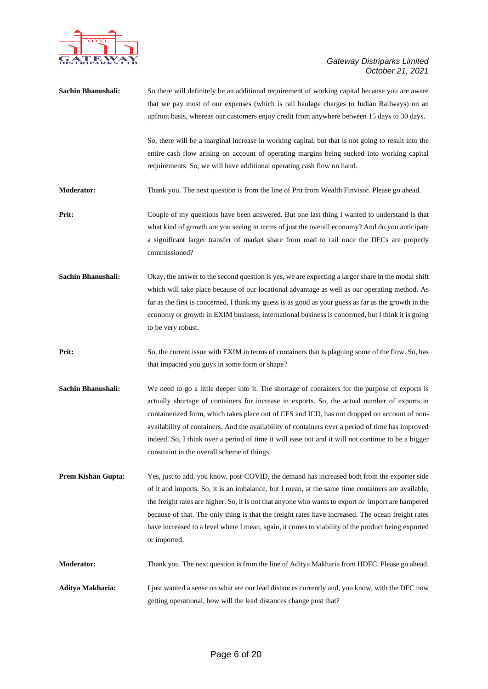

| Sachin Bhanushali:        | So there will definitely be an additional requirement of working capital because you are aware<br>that we pay most of our expenses (which is rail haulage charges to Indian Railways) on an<br>upfront basis, whereas our customers enjoy credit from anywhere between 15 days to 30 days.<br>So, there will be a marginal increase in working capital, but that is not going to result into the<br>entire cash flow arising on account of operating margins being sucked into working capital                                                            |
|---------------------------|-----------------------------------------------------------------------------------------------------------------------------------------------------------------------------------------------------------------------------------------------------------------------------------------------------------------------------------------------------------------------------------------------------------------------------------------------------------------------------------------------------------------------------------------------------------|
|                           | requirements. So, we will have additional operating cash flow on hand.                                                                                                                                                                                                                                                                                                                                                                                                                                                                                    |
| Moderator:                | Thank you. The next question is from the line of Prit from Wealth Finvisor. Please go ahead.                                                                                                                                                                                                                                                                                                                                                                                                                                                              |
| Prit:                     | Couple of my questions have been answered. But one last thing I wanted to understand is that<br>what kind of growth are you seeing in terms of just the overall economy? And do you anticipate<br>a significant larger transfer of market share from road to rail once the DFCs are properly<br>commissioned?                                                                                                                                                                                                                                             |
| <b>Sachin Bhanushali:</b> | Okay, the answer to the second question is yes, we are expecting a larger share in the modal shift<br>which will take place because of our locational advantage as well as our operating method. As<br>far as the first is concerned, I think my guess is as good as your guess as far as the growth in the<br>economy or growth in EXIM business, international business is concerned, but I think it is going<br>to be very robust.                                                                                                                     |
| Prit:                     | So, the current issue with EXIM in terms of containers that is plaguing some of the flow. So, has<br>that impacted you guys in some form or shape?                                                                                                                                                                                                                                                                                                                                                                                                        |
| Sachin Bhanushali:        | We need to go a little deeper into it. The shortage of containers for the purpose of exports is<br>actually shortage of containers for increase in exports. So, the actual number of exports in<br>containerized form, which takes place out of CFS and ICD, has not dropped on account of non-<br>availability of containers. And the availability of containers over a period of time has improved<br>indeed. So, I think over a period of time it will ease out and it will not continue to be a bigger<br>constraint in the overall scheme of things. |
| <b>Prem Kishan Gupta:</b> | Yes, just to add, you know, post-COVID, the demand has increased both from the exporter side<br>of it and imports. So, it is an imbalance, but I mean, at the same time containers are available,<br>the freight rates are higher. So, it is not that anyone who wants to export or import are hampered<br>because of that. The only thing is that the freight rates have increased. The ocean freight rates<br>have increased to a level where I mean, again, it comes to viability of the product being exported<br>or imported.                        |
| <b>Moderator:</b>         | Thank you. The next question is from the line of Aditya Makharia from HDFC. Please go ahead.                                                                                                                                                                                                                                                                                                                                                                                                                                                              |
| Aditya Makharia:          | I just wanted a sense on what are our lead distances currently and, you know, with the DFC now<br>getting operational, how will the lead distances change post that?                                                                                                                                                                                                                                                                                                                                                                                      |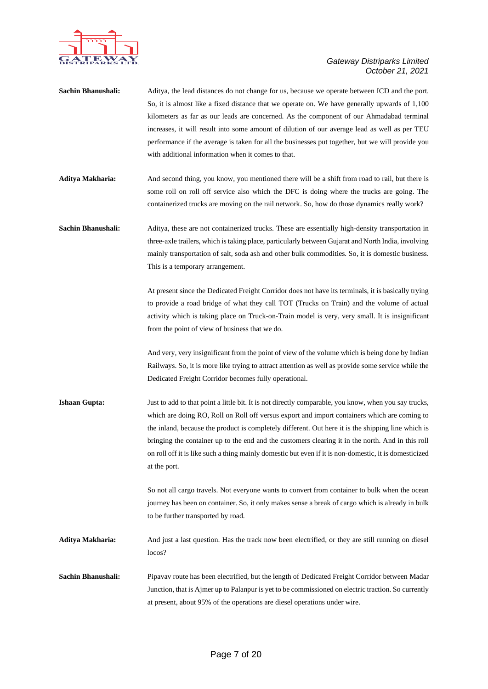

| Sachin Bhanushali:   | Aditya, the lead distances do not change for us, because we operate between ICD and the port.<br>So, it is almost like a fixed distance that we operate on. We have generally upwards of 1,100<br>kilometers as far as our leads are concerned. As the component of our Ahmadabad terminal<br>increases, it will result into some amount of dilution of our average lead as well as per TEU<br>performance if the average is taken for all the businesses put together, but we will provide you<br>with additional information when it comes to that. |
|----------------------|-------------------------------------------------------------------------------------------------------------------------------------------------------------------------------------------------------------------------------------------------------------------------------------------------------------------------------------------------------------------------------------------------------------------------------------------------------------------------------------------------------------------------------------------------------|
| Aditya Makharia:     | And second thing, you know, you mentioned there will be a shift from road to rail, but there is<br>some roll on roll off service also which the DFC is doing where the trucks are going. The<br>containerized trucks are moving on the rail network. So, how do those dynamics really work?                                                                                                                                                                                                                                                           |
| Sachin Bhanushali:   | Aditya, these are not containerized trucks. These are essentially high-density transportation in<br>three-axle trailers, which is taking place, particularly between Gujarat and North India, involving<br>mainly transportation of salt, soda ash and other bulk commodities. So, it is domestic business.<br>This is a temporary arrangement.                                                                                                                                                                                                       |
|                      | At present since the Dedicated Freight Corridor does not have its terminals, it is basically trying<br>to provide a road bridge of what they call TOT (Trucks on Train) and the volume of actual<br>activity which is taking place on Truck-on-Train model is very, very small. It is insignificant<br>from the point of view of business that we do.                                                                                                                                                                                                 |
|                      | And very, very insignificant from the point of view of the volume which is being done by Indian<br>Railways. So, it is more like trying to attract attention as well as provide some service while the<br>Dedicated Freight Corridor becomes fully operational.                                                                                                                                                                                                                                                                                       |
| <b>Ishaan Gupta:</b> | Just to add to that point a little bit. It is not directly comparable, you know, when you say trucks,<br>which are doing RO, Roll on Roll off versus export and import containers which are coming to<br>the inland, because the product is completely different. Out here it is the shipping line which is<br>bringing the container up to the end and the customers clearing it in the north. And in this roll<br>on roll off it is like such a thing mainly domestic but even if it is non-domestic, it is domesticized<br>at the port.            |
|                      | So not all cargo travels. Not everyone wants to convert from container to bulk when the ocean<br>journey has been on container. So, it only makes sense a break of cargo which is already in bulk<br>to be further transported by road.                                                                                                                                                                                                                                                                                                               |
| Aditya Makharia:     | And just a last question. Has the track now been electrified, or they are still running on diesel<br>locos?                                                                                                                                                                                                                                                                                                                                                                                                                                           |
| Sachin Bhanushali:   | Pipavav route has been electrified, but the length of Dedicated Freight Corridor between Madar<br>Junction, that is Ajmer up to Palanpur is yet to be commissioned on electric traction. So currently<br>at present, about 95% of the operations are diesel operations under wire.                                                                                                                                                                                                                                                                    |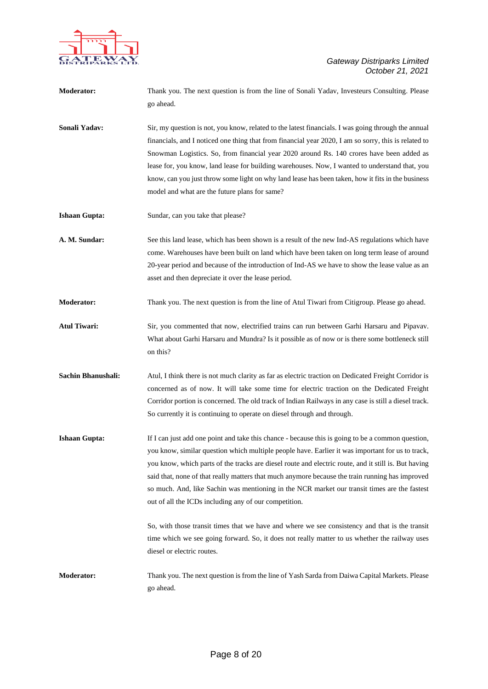

| Moderator:           | Thank you. The next question is from the line of Sonali Yadav, Investeurs Consulting. Please<br>go ahead.                                                                                                                                                                                                                                                                                                                                                                                                                                                                 |
|----------------------|---------------------------------------------------------------------------------------------------------------------------------------------------------------------------------------------------------------------------------------------------------------------------------------------------------------------------------------------------------------------------------------------------------------------------------------------------------------------------------------------------------------------------------------------------------------------------|
| Sonali Yadav:        | Sir, my question is not, you know, related to the latest financials. I was going through the annual<br>financials, and I noticed one thing that from financial year 2020, I am so sorry, this is related to<br>Snowman Logistics. So, from financial year 2020 around Rs. 140 crores have been added as<br>lease for, you know, land lease for building warehouses. Now, I wanted to understand that, you<br>know, can you just throw some light on why land lease has been taken, how it fits in the business<br>model and what are the future plans for same?           |
| <b>Ishaan Gupta:</b> | Sundar, can you take that please?                                                                                                                                                                                                                                                                                                                                                                                                                                                                                                                                         |
| A. M. Sundar:        | See this land lease, which has been shown is a result of the new Ind-AS regulations which have<br>come. Warehouses have been built on land which have been taken on long term lease of around<br>20-year period and because of the introduction of Ind-AS we have to show the lease value as an<br>asset and then depreciate it over the lease period.                                                                                                                                                                                                                    |
| Moderator:           | Thank you. The next question is from the line of Atul Tiwari from Citigroup. Please go ahead.                                                                                                                                                                                                                                                                                                                                                                                                                                                                             |
| <b>Atul Tiwari:</b>  | Sir, you commented that now, electrified trains can run between Garhi Harsaru and Pipavav.<br>What about Garhi Harsaru and Mundra? Is it possible as of now or is there some bottleneck still<br>on this?                                                                                                                                                                                                                                                                                                                                                                 |
| Sachin Bhanushali:   | Atul, I think there is not much clarity as far as electric traction on Dedicated Freight Corridor is<br>concerned as of now. It will take some time for electric traction on the Dedicated Freight<br>Corridor portion is concerned. The old track of Indian Railways in any case is still a diesel track.<br>So currently it is continuing to operate on diesel through and through.                                                                                                                                                                                     |
| <b>Ishaan Gupta:</b> | If I can just add one point and take this chance - because this is going to be a common question,<br>you know, similar question which multiple people have. Earlier it was important for us to track,<br>you know, which parts of the tracks are diesel route and electric route, and it still is. But having<br>said that, none of that really matters that much anymore because the train running has improved<br>so much. And, like Sachin was mentioning in the NCR market our transit times are the fastest<br>out of all the ICDs including any of our competition. |
|                      | So, with those transit times that we have and where we see consistency and that is the transit<br>time which we see going forward. So, it does not really matter to us whether the railway uses<br>diesel or electric routes.                                                                                                                                                                                                                                                                                                                                             |
| <b>Moderator:</b>    | Thank you. The next question is from the line of Yash Sarda from Daiwa Capital Markets. Please<br>go ahead.                                                                                                                                                                                                                                                                                                                                                                                                                                                               |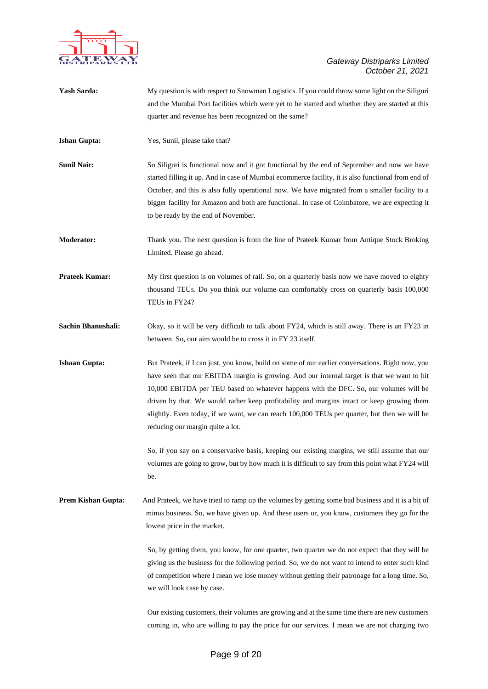

| Yash Sarda:               | My question is with respect to Snowman Logistics. If you could throw some light on the Siliguri<br>and the Mumbai Port facilities which were yet to be started and whether they are started at this<br>quarter and revenue has been recognized on the same?                                                                                                                                                                                                                                                                |
|---------------------------|----------------------------------------------------------------------------------------------------------------------------------------------------------------------------------------------------------------------------------------------------------------------------------------------------------------------------------------------------------------------------------------------------------------------------------------------------------------------------------------------------------------------------|
| <b>Ishan Gupta:</b>       | Yes, Sunil, please take that?                                                                                                                                                                                                                                                                                                                                                                                                                                                                                              |
| <b>Sunil Nair:</b>        | So Siliguri is functional now and it got functional by the end of September and now we have<br>started filling it up. And in case of Mumbai ecommerce facility, it is also functional from end of<br>October, and this is also fully operational now. We have migrated from a smaller facility to a<br>bigger facility for Amazon and both are functional. In case of Coimbatore, we are expecting it<br>to be ready by the end of November.                                                                               |
| <b>Moderator:</b>         | Thank you. The next question is from the line of Prateek Kumar from Antique Stock Broking<br>Limited. Please go ahead.                                                                                                                                                                                                                                                                                                                                                                                                     |
| <b>Prateek Kumar:</b>     | My first question is on volumes of rail. So, on a quarterly basis now we have moved to eighty<br>thousand TEUs. Do you think our volume can comfortably cross on quarterly basis 100,000<br>TEUs in FY24?                                                                                                                                                                                                                                                                                                                  |
| Sachin Bhanushali:        | Okay, so it will be very difficult to talk about FY24, which is still away. There is an FY23 in<br>between. So, our aim would be to cross it in FY 23 itself.                                                                                                                                                                                                                                                                                                                                                              |
| <b>Ishaan Gupta:</b>      | But Prateek, if I can just, you know, build on some of our earlier conversations. Right now, you<br>have seen that our EBITDA margin is growing. And our internal target is that we want to hit<br>10,000 EBITDA per TEU based on whatever happens with the DFC. So, our volumes will be<br>driven by that. We would rather keep profitability and margins intact or keep growing them<br>slightly. Even today, if we want, we can reach 100,000 TEUs per quarter, but then we will be<br>reducing our margin quite a lot. |
|                           | So, if you say on a conservative basis, keeping our existing margins, we still assume that our<br>volumes are going to grow, but by how much it is difficult to say from this point what FY24 will<br>be.                                                                                                                                                                                                                                                                                                                  |
| <b>Prem Kishan Gupta:</b> | And Prateek, we have tried to ramp up the volumes by getting some bad business and it is a bit of<br>minus business. So, we have given up. And these users or, you know, customers they go for the<br>lowest price in the market.                                                                                                                                                                                                                                                                                          |
|                           | So, by getting them, you know, for one quarter, two quarter we do not expect that they will be<br>giving us the business for the following period. So, we do not want to intend to enter such kind<br>of competition where I mean we lose money without getting their patronage for a long time. So,<br>we will look case by case.                                                                                                                                                                                         |
|                           | Our existing customers, their volumes are growing and at the same time there are new customers<br>coming in, who are willing to pay the price for our services. I mean we are not charging two                                                                                                                                                                                                                                                                                                                             |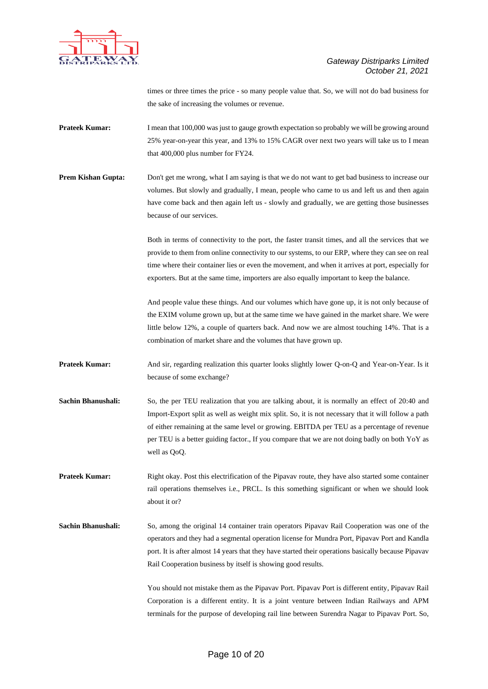

times or three times the price - so many people value that. So, we will not do bad business for the sake of increasing the volumes or revenue.

- **Prateek Kumar:** I mean that 100,000 was just to gauge growth expectation so probably we will be growing around 25% year-on-year this year, and 13% to 15% CAGR over next two years will take us to I mean that 400,000 plus number for FY24.
- **Prem Kishan Gupta:** Don't get me wrong, what I am saying is that we do not want to get bad business to increase our volumes. But slowly and gradually, I mean, people who came to us and left us and then again have come back and then again left us - slowly and gradually, we are getting those businesses because of our services.

Both in terms of connectivity to the port, the faster transit times, and all the services that we provide to them from online connectivity to our systems, to our ERP, where they can see on real time where their container lies or even the movement, and when it arrives at port, especially for exporters. But at the same time, importers are also equally important to keep the balance.

And people value these things. And our volumes which have gone up, it is not only because of the EXIM volume grown up, but at the same time we have gained in the market share. We were little below 12%, a couple of quarters back. And now we are almost touching 14%. That is a combination of market share and the volumes that have grown up.

- **Prateek Kumar:** And sir, regarding realization this quarter looks slightly lower Q-on-Q and Year-on-Year. Is it because of some exchange?
- **Sachin Bhanushali:** So, the per TEU realization that you are talking about, it is normally an effect of 20:40 and Import-Export split as well as weight mix split. So, it is not necessary that it will follow a path of either remaining at the same level or growing. EBITDA per TEU as a percentage of revenue per TEU is a better guiding factor., If you compare that we are not doing badly on both YoY as well as QoQ.

**Prateek Kumar:** Right okay. Post this electrification of the Pipavav route, they have also started some container rail operations themselves i.e., PRCL. Is this something significant or when we should look about it or?

**Sachin Bhanushali:** So, among the original 14 container train operators Pipavav Rail Cooperation was one of the operators and they had a segmental operation license for Mundra Port, Pipavav Port and Kandla port. It is after almost 14 years that they have started their operations basically because Pipavav Rail Cooperation business by itself is showing good results.

> You should not mistake them as the Pipavav Port. Pipavav Port is different entity, Pipavav Rail Corporation is a different entity. It is a joint venture between Indian Railways and APM terminals for the purpose of developing rail line between Surendra Nagar to Pipavav Port. So,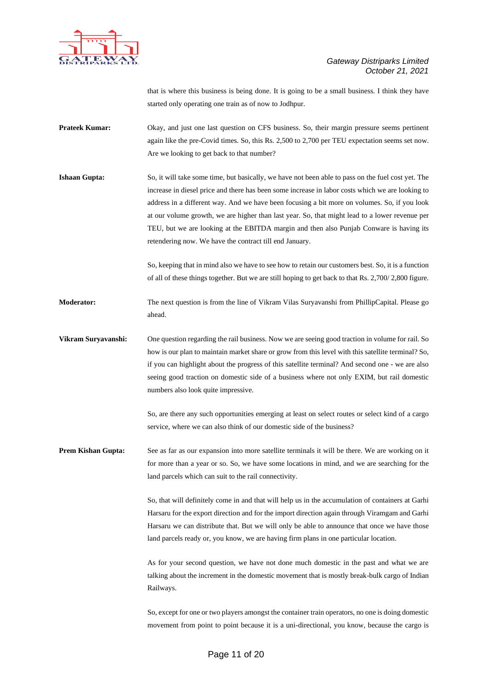

that is where this business is being done. It is going to be a small business. I think they have started only operating one train as of now to Jodhpur.

- **Prateek Kumar:** Okay, and just one last question on CFS business. So, their margin pressure seems pertinent again like the pre-Covid times. So, this Rs. 2,500 to 2,700 per TEU expectation seems set now. Are we looking to get back to that number?
- **Ishaan Gupta:** So, it will take some time, but basically, we have not been able to pass on the fuel cost yet. The increase in diesel price and there has been some increase in labor costs which we are looking to address in a different way. And we have been focusing a bit more on volumes. So, if you look at our volume growth, we are higher than last year. So, that might lead to a lower revenue per TEU, but we are looking at the EBITDA margin and then also Punjab Conware is having its retendering now. We have the contract till end January.

So, keeping that in mind also we have to see how to retain our customers best. So, it is a function of all of these things together. But we are still hoping to get back to that Rs. 2,700/ 2,800 figure.

- **Moderator:** The next question is from the line of Vikram Vilas Suryavanshi from PhillipCapital. Please go ahead.
- **Vikram Suryavanshi:** One question regarding the rail business. Now we are seeing good traction in volume for rail. So how is our plan to maintain market share or grow from this level with this satellite terminal? So, if you can highlight about the progress of this satellite terminal? And second one - we are also seeing good traction on domestic side of a business where not only EXIM, but rail domestic numbers also look quite impressive.

So, are there any such opportunities emerging at least on select routes or select kind of a cargo service, where we can also think of our domestic side of the business?

**Prem Kishan Gupta:** See as far as our expansion into more satellite terminals it will be there. We are working on it for more than a year or so. So, we have some locations in mind, and we are searching for the land parcels which can suit to the rail connectivity.

> So, that will definitely come in and that will help us in the accumulation of containers at Garhi Harsaru for the export direction and for the import direction again through Viramgam and Garhi Harsaru we can distribute that. But we will only be able to announce that once we have those land parcels ready or, you know, we are having firm plans in one particular location.

> As for your second question, we have not done much domestic in the past and what we are talking about the increment in the domestic movement that is mostly break-bulk cargo of Indian Railways.

> So, except for one or two players amongst the container train operators, no one is doing domestic movement from point to point because it is a uni-directional, you know, because the cargo is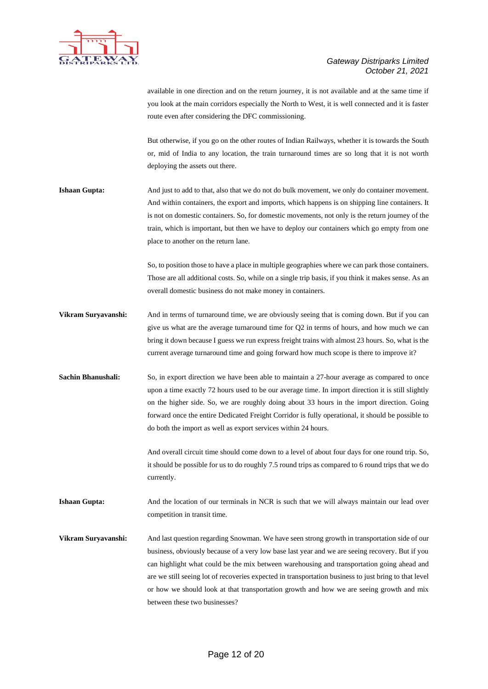

available in one direction and on the return journey, it is not available and at the same time if you look at the main corridors especially the North to West, it is well connected and it is faster route even after considering the DFC commissioning.

But otherwise, if you go on the other routes of Indian Railways, whether it is towards the South or, mid of India to any location, the train turnaround times are so long that it is not worth deploying the assets out there.

**Ishaan Gupta:** And just to add to that, also that we do not do bulk movement, we only do container movement. And within containers, the export and imports, which happens is on shipping line containers. It is not on domestic containers. So, for domestic movements, not only is the return journey of the train, which is important, but then we have to deploy our containers which go empty from one place to another on the return lane.

> So, to position those to have a place in multiple geographies where we can park those containers. Those are all additional costs. So, while on a single trip basis, if you think it makes sense. As an overall domestic business do not make money in containers.

- **Vikram Suryavanshi:** And in terms of turnaround time, we are obviously seeing that is coming down. But if you can give us what are the average turnaround time for Q2 in terms of hours, and how much we can bring it down because I guess we run express freight trains with almost 23 hours. So, what is the current average turnaround time and going forward how much scope is there to improve it?
- **Sachin Bhanushali:** So, in export direction we have been able to maintain a 27-hour average as compared to once upon a time exactly 72 hours used to be our average time. In import direction it is still slightly on the higher side. So, we are roughly doing about 33 hours in the import direction. Going forward once the entire Dedicated Freight Corridor is fully operational, it should be possible to do both the import as well as export services within 24 hours.

And overall circuit time should come down to a level of about four days for one round trip. So, it should be possible for us to do roughly 7.5 round trips as compared to 6 round trips that we do currently.

**Ishaan Gupta:** And the location of our terminals in NCR is such that we will always maintain our lead over competition in transit time.

**Vikram Suryavanshi:** And last question regarding Snowman. We have seen strong growth in transportation side of our business, obviously because of a very low base last year and we are seeing recovery. But if you can highlight what could be the mix between warehousing and transportation going ahead and are we still seeing lot of recoveries expected in transportation business to just bring to that level or how we should look at that transportation growth and how we are seeing growth and mix between these two businesses?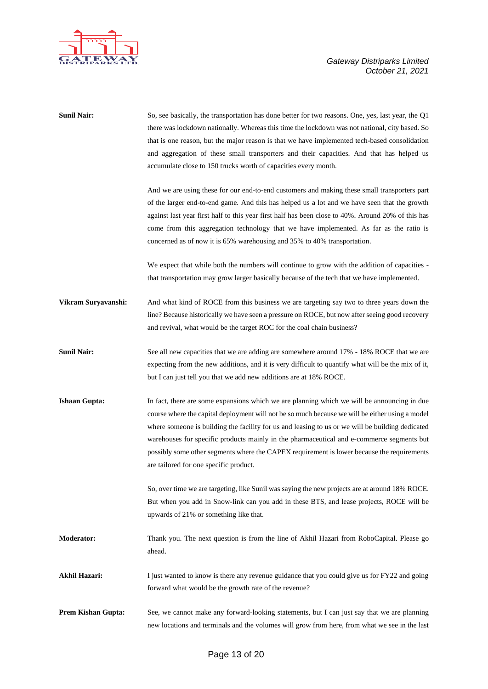



| <b>Sunil Nair:</b>        | So, see basically, the transportation has done better for two reasons. One, yes, last year, the Q1<br>there was lockdown nationally. Whereas this time the lockdown was not national, city based. So<br>that is one reason, but the major reason is that we have implemented tech-based consolidation<br>and aggregation of these small transporters and their capacities. And that has helped us<br>accumulate close to 150 trucks worth of capacities every month.<br>And we are using these for our end-to-end customers and making these small transporters part<br>of the larger end-to-end game. And this has helped us a lot and we have seen that the growth<br>against last year first half to this year first half has been close to 40%. Around 20% of this has<br>come from this aggregation technology that we have implemented. As far as the ratio is<br>concerned as of now it is 65% warehousing and 35% to 40% transportation. |
|---------------------------|--------------------------------------------------------------------------------------------------------------------------------------------------------------------------------------------------------------------------------------------------------------------------------------------------------------------------------------------------------------------------------------------------------------------------------------------------------------------------------------------------------------------------------------------------------------------------------------------------------------------------------------------------------------------------------------------------------------------------------------------------------------------------------------------------------------------------------------------------------------------------------------------------------------------------------------------------|
|                           | We expect that while both the numbers will continue to grow with the addition of capacities -<br>that transportation may grow larger basically because of the tech that we have implemented.                                                                                                                                                                                                                                                                                                                                                                                                                                                                                                                                                                                                                                                                                                                                                     |
| Vikram Suryavanshi:       | And what kind of ROCE from this business we are targeting say two to three years down the<br>line? Because historically we have seen a pressure on ROCE, but now after seeing good recovery<br>and revival, what would be the target ROC for the coal chain business?                                                                                                                                                                                                                                                                                                                                                                                                                                                                                                                                                                                                                                                                            |
| <b>Sunil Nair:</b>        | See all new capacities that we are adding are somewhere around 17% - 18% ROCE that we are<br>expecting from the new additions, and it is very difficult to quantify what will be the mix of it,<br>but I can just tell you that we add new additions are at 18% ROCE.                                                                                                                                                                                                                                                                                                                                                                                                                                                                                                                                                                                                                                                                            |
| <b>Ishaan Gupta:</b>      | In fact, there are some expansions which we are planning which we will be announcing in due<br>course where the capital deployment will not be so much because we will be either using a model<br>where someone is building the facility for us and leasing to us or we will be building dedicated<br>warehouses for specific products mainly in the pharmaceutical and e-commerce segments but<br>possibly some other segments where the CAPEX requirement is lower because the requirements<br>are tailored for one specific product.                                                                                                                                                                                                                                                                                                                                                                                                          |
|                           | So, over time we are targeting, like Sunil was saying the new projects are at around 18% ROCE.<br>But when you add in Snow-link can you add in these BTS, and lease projects, ROCE will be<br>upwards of 21% or something like that.                                                                                                                                                                                                                                                                                                                                                                                                                                                                                                                                                                                                                                                                                                             |
| <b>Moderator:</b>         | Thank you. The next question is from the line of Akhil Hazari from RoboCapital. Please go<br>ahead.                                                                                                                                                                                                                                                                                                                                                                                                                                                                                                                                                                                                                                                                                                                                                                                                                                              |
| <b>Akhil Hazari:</b>      | I just wanted to know is there any revenue guidance that you could give us for FY22 and going<br>forward what would be the growth rate of the revenue?                                                                                                                                                                                                                                                                                                                                                                                                                                                                                                                                                                                                                                                                                                                                                                                           |
| <b>Prem Kishan Gupta:</b> | See, we cannot make any forward-looking statements, but I can just say that we are planning<br>new locations and terminals and the volumes will grow from here, from what we see in the last                                                                                                                                                                                                                                                                                                                                                                                                                                                                                                                                                                                                                                                                                                                                                     |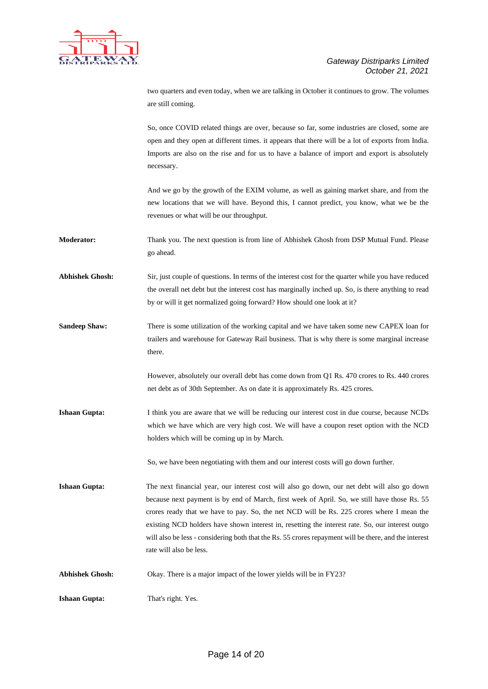

two quarters and even today, when we are talking in October it continues to grow. The volumes are still coming.

So, once COVID related things are over, because so far, some industries are closed, some are open and they open at different times. it appears that there will be a lot of exports from India. Imports are also on the rise and for us to have a balance of import and export is absolutely necessary.

And we go by the growth of the EXIM volume, as well as gaining market share, and from the new locations that we will have. Beyond this, I cannot predict, you know, what we be the revenues or what will be our throughput.

**Moderator:** Thank you. The next question is from line of Abhishek Ghosh from DSP Mutual Fund. Please go ahead.

**Abhishek Ghosh:** Sir, just couple of questions. In terms of the interest cost for the quarter while you have reduced the overall net debt but the interest cost has marginally inched up. So, is there anything to read by or will it get normalized going forward? How should one look at it?

**Sandeep Shaw:** There is some utilization of the working capital and we have taken some new CAPEX loan for trailers and warehouse for Gateway Rail business. That is why there is some marginal increase there.

> However, absolutely our overall debt has come down from Q1 Rs. 470 crores to Rs. 440 crores net debt as of 30th September. As on date it is approximately Rs. 425 crores.

**Ishaan Gupta:** I think you are aware that we will be reducing our interest cost in due course, because NCDs which we have which are very high cost. We will have a coupon reset option with the NCD holders which will be coming up in by March.

So, we have been negotiating with them and our interest costs will go down further.

**Ishaan Gupta:** The next financial year, our interest cost will also go down, our net debt will also go down because next payment is by end of March, first week of April. So, we still have those Rs. 55 crores ready that we have to pay. So, the net NCD will be Rs. 225 crores where I mean the existing NCD holders have shown interest in, resetting the interest rate. So, our interest outgo will also be less - considering both that the Rs. 55 crores repayment will be there, and the interest rate will also be less.

**Abhishek Ghosh:** Okay. There is a major impact of the lower yields will be in FY23?

**Ishaan Gupta:** That's right. Yes.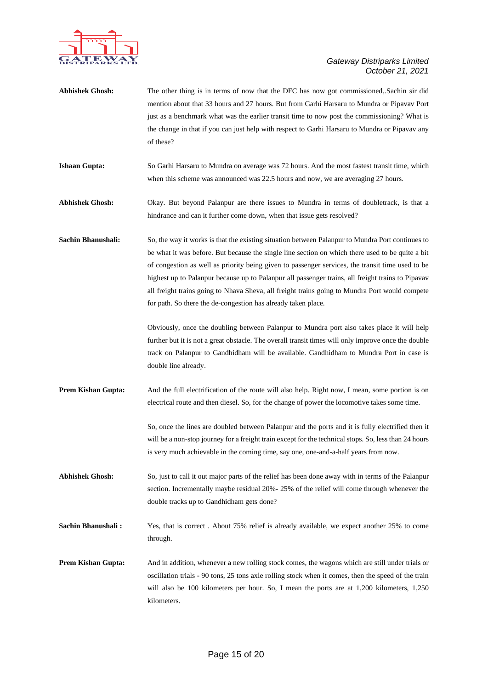

- **Abhishek Ghosh:** The other thing is in terms of now that the DFC has now got commissioned,.Sachin sir did mention about that 33 hours and 27 hours. But from Garhi Harsaru to Mundra or Pipavav Port just as a benchmark what was the earlier transit time to now post the commissioning? What is the change in that if you can just help with respect to Garhi Harsaru to Mundra or Pipavav any of these? **Ishaan Gupta:** So Garhi Harsaru to Mundra on average was 72 hours. And the most fastest transit time, which when this scheme was announced was 22.5 hours and now, we are averaging 27 hours. **Abhishek Ghosh:** Okay. But beyond Palanpur are there issues to Mundra in terms of doubletrack, is that a hindrance and can it further come down, when that issue gets resolved?
- **Sachin Bhanushali:** So, the way it works is that the existing situation between Palanpur to Mundra Port continues to be what it was before. But because the single line section on which there used to be quite a bit of congestion as well as priority being given to passenger services, the transit time used to be highest up to Palanpur because up to Palanpur all passenger trains, all freight trains to Pipavav all freight trains going to Nhava Sheva, all freight trains going to Mundra Port would compete for path. So there the de-congestion has already taken place.

Obviously, once the doubling between Palanpur to Mundra port also takes place it will help further but it is not a great obstacle. The overall transit times will only improve once the double track on Palanpur to Gandhidham will be available. Gandhidham to Mundra Port in case is double line already.

**Prem Kishan Gupta:** And the full electrification of the route will also help. Right now, I mean, some portion is on electrical route and then diesel. So, for the change of power the locomotive takes some time.

> So, once the lines are doubled between Palanpur and the ports and it is fully electrified then it will be a non-stop journey for a freight train except for the technical stops. So, less than 24 hours is very much achievable in the coming time, say one, one-and-a-half years from now.

**Abhishek Ghosh:** So, just to call it out major parts of the relief has been done away with in terms of the Palanpur section. Incrementally maybe residual 20%- 25% of the relief will come through whenever the double tracks up to Gandhidham gets done?

**Sachin Bhanushali :** Yes, that is correct. About 75% relief is already available, we expect another 25% to come through.

**Prem Kishan Gupta:** And in addition, whenever a new rolling stock comes, the wagons which are still under trials or oscillation trials - 90 tons, 25 tons axle rolling stock when it comes, then the speed of the train will also be 100 kilometers per hour. So, I mean the ports are at 1,200 kilometers, 1,250 kilometers.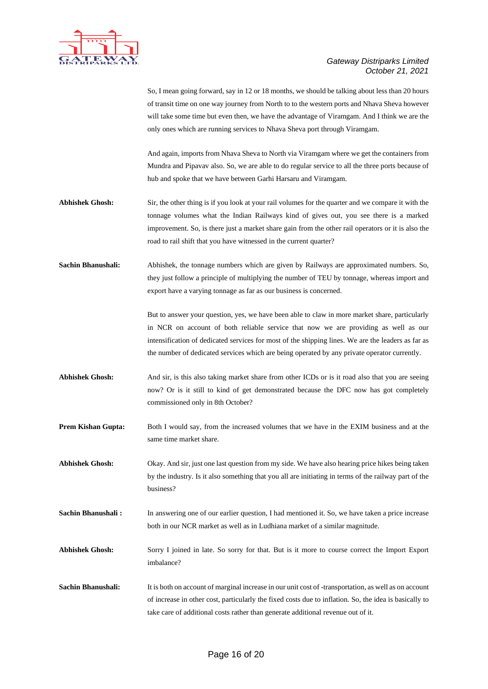

So, I mean going forward, say in 12 or 18 months, we should be talking about less than 20 hours of transit time on one way journey from North to to the western ports and Nhava Sheva however will take some time but even then, we have the advantage of Viramgam. And I think we are the only ones which are running services to Nhava Sheva port through Viramgam.

And again, imports from Nhava Sheva to North via Viramgam where we get the containers from Mundra and Pipavav also. So, we are able to do regular service to all the three ports because of hub and spoke that we have between Garhi Harsaru and Viramgam.

- **Abhishek Ghosh:** Sir, the other thing is if you look at your rail volumes for the quarter and we compare it with the tonnage volumes what the Indian Railways kind of gives out, you see there is a marked improvement. So, is there just a market share gain from the other rail operators or it is also the road to rail shift that you have witnessed in the current quarter?
- **Sachin Bhanushali:** Abhishek, the tonnage numbers which are given by Railways are approximated numbers. So, they just follow a principle of multiplying the number of TEU by tonnage, whereas import and export have a varying tonnage as far as our business is concerned.

But to answer your question, yes, we have been able to claw in more market share, particularly in NCR on account of both reliable service that now we are providing as well as our intensification of dedicated services for most of the shipping lines. We are the leaders as far as the number of dedicated services which are being operated by any private operator currently.

- Abhishek Ghosh: And sir, is this also taking market share from other ICDs or is it road also that you are seeing now? Or is it still to kind of get demonstrated because the DFC now has got completely commissioned only in 8th October?
- **Prem Kishan Gupta:** Both I would say, from the increased volumes that we have in the EXIM business and at the same time market share.

**Abhishek Ghosh:** Okay. And sir, just one last question from my side. We have also hearing price hikes being taken by the industry. Is it also something that you all are initiating in terms of the railway part of the business?

**Sachin Bhanushali :** In answering one of our earlier question, I had mentioned it. So, we have taken a price increase both in our NCR market as well as in Ludhiana market of a similar magnitude.

**Abhishek Ghosh:** Sorry I joined in late. So sorry for that. But is it more to course correct the Import Export imbalance?

**Sachin Bhanushali:** It is both on account of marginal increase in our unit cost of -transportation, as well as on account of increase in other cost, particularly the fixed costs due to inflation. So, the idea is basically to take care of additional costs rather than generate additional revenue out of it.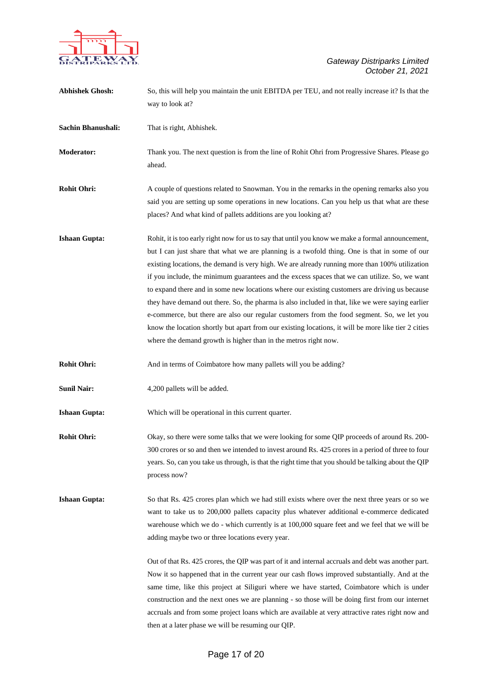

| <b>Abhishek Ghosh:</b> | So, this will help you maintain the unit EBITDA per TEU, and not really increase it? Is that the<br>way to look at?                                                                                                                                                                                                                                                                                                                                                                                                                                                                                                                                                                                                                                                                                                                                                                |
|------------------------|------------------------------------------------------------------------------------------------------------------------------------------------------------------------------------------------------------------------------------------------------------------------------------------------------------------------------------------------------------------------------------------------------------------------------------------------------------------------------------------------------------------------------------------------------------------------------------------------------------------------------------------------------------------------------------------------------------------------------------------------------------------------------------------------------------------------------------------------------------------------------------|
| Sachin Bhanushali:     | That is right, Abhishek.                                                                                                                                                                                                                                                                                                                                                                                                                                                                                                                                                                                                                                                                                                                                                                                                                                                           |
| <b>Moderator:</b>      | Thank you. The next question is from the line of Rohit Ohri from Progressive Shares. Please go<br>ahead.                                                                                                                                                                                                                                                                                                                                                                                                                                                                                                                                                                                                                                                                                                                                                                           |
| <b>Rohit Ohri:</b>     | A couple of questions related to Snowman. You in the remarks in the opening remarks also you<br>said you are setting up some operations in new locations. Can you help us that what are these<br>places? And what kind of pallets additions are you looking at?                                                                                                                                                                                                                                                                                                                                                                                                                                                                                                                                                                                                                    |
| <b>Ishaan Gupta:</b>   | Rohit, it is too early right now for us to say that until you know we make a formal announcement,<br>but I can just share that what we are planning is a twofold thing. One is that in some of our<br>existing locations, the demand is very high. We are already running more than 100% utilization<br>if you include, the minimum guarantees and the excess spaces that we can utilize. So, we want<br>to expand there and in some new locations where our existing customers are driving us because<br>they have demand out there. So, the pharma is also included in that, like we were saying earlier<br>e-commerce, but there are also our regular customers from the food segment. So, we let you<br>know the location shortly but apart from our existing locations, it will be more like tier 2 cities<br>where the demand growth is higher than in the metros right now. |
| <b>Rohit Ohri:</b>     | And in terms of Coimbatore how many pallets will you be adding?                                                                                                                                                                                                                                                                                                                                                                                                                                                                                                                                                                                                                                                                                                                                                                                                                    |
| <b>Sunil Nair:</b>     | 4,200 pallets will be added.                                                                                                                                                                                                                                                                                                                                                                                                                                                                                                                                                                                                                                                                                                                                                                                                                                                       |
| <b>Ishaan Gupta:</b>   | Which will be operational in this current quarter.                                                                                                                                                                                                                                                                                                                                                                                                                                                                                                                                                                                                                                                                                                                                                                                                                                 |
| <b>Rohit Ohri:</b>     | Okay, so there were some talks that we were looking for some QIP proceeds of around Rs. 200-<br>300 crores or so and then we intended to invest around Rs. 425 crores in a period of three to four<br>years. So, can you take us through, is that the right time that you should be talking about the QIP<br>process now?                                                                                                                                                                                                                                                                                                                                                                                                                                                                                                                                                          |
| <b>Ishaan Gupta:</b>   | So that Rs. 425 crores plan which we had still exists where over the next three years or so we<br>want to take us to 200,000 pallets capacity plus whatever additional e-commerce dedicated<br>warehouse which we do - which currently is at 100,000 square feet and we feel that we will be<br>adding maybe two or three locations every year.                                                                                                                                                                                                                                                                                                                                                                                                                                                                                                                                    |
|                        | Out of that Rs. 425 crores, the QIP was part of it and internal accruals and debt was another part.<br>Now it so happened that in the current year our cash flows improved substantially. And at the<br>same time, like this project at Siliguri where we have started, Coimbatore which is under<br>construction and the next ones we are planning - so those will be doing first from our internet<br>accruals and from some project loans which are available at very attractive rates right now and<br>then at a later phase we will be resuming our QIP.                                                                                                                                                                                                                                                                                                                      |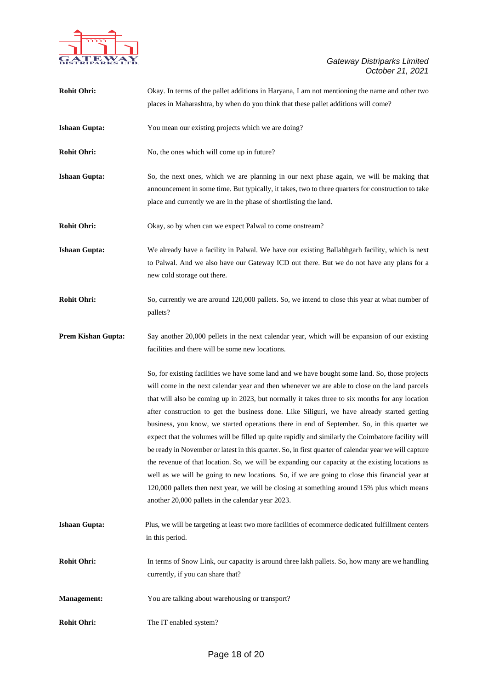

| <b>Rohit Ohri:</b>        | Okay. In terms of the pallet additions in Haryana, I am not mentioning the name and other two                                                                                                                                                                                                                                                                                                                                                                                                                                                                                                                                                                                                                                                                                                                                                                                                                                                                                                                                                                              |
|---------------------------|----------------------------------------------------------------------------------------------------------------------------------------------------------------------------------------------------------------------------------------------------------------------------------------------------------------------------------------------------------------------------------------------------------------------------------------------------------------------------------------------------------------------------------------------------------------------------------------------------------------------------------------------------------------------------------------------------------------------------------------------------------------------------------------------------------------------------------------------------------------------------------------------------------------------------------------------------------------------------------------------------------------------------------------------------------------------------|
|                           | places in Maharashtra, by when do you think that these pallet additions will come?                                                                                                                                                                                                                                                                                                                                                                                                                                                                                                                                                                                                                                                                                                                                                                                                                                                                                                                                                                                         |
| <b>Ishaan Gupta:</b>      | You mean our existing projects which we are doing?                                                                                                                                                                                                                                                                                                                                                                                                                                                                                                                                                                                                                                                                                                                                                                                                                                                                                                                                                                                                                         |
| <b>Rohit Ohri:</b>        | No, the ones which will come up in future?                                                                                                                                                                                                                                                                                                                                                                                                                                                                                                                                                                                                                                                                                                                                                                                                                                                                                                                                                                                                                                 |
| <b>Ishaan Gupta:</b>      | So, the next ones, which we are planning in our next phase again, we will be making that<br>announcement in some time. But typically, it takes, two to three quarters for construction to take<br>place and currently we are in the phase of shortlisting the land.                                                                                                                                                                                                                                                                                                                                                                                                                                                                                                                                                                                                                                                                                                                                                                                                        |
| <b>Rohit Ohri:</b>        | Okay, so by when can we expect Palwal to come onstream?                                                                                                                                                                                                                                                                                                                                                                                                                                                                                                                                                                                                                                                                                                                                                                                                                                                                                                                                                                                                                    |
| <b>Ishaan Gupta:</b>      | We already have a facility in Palwal. We have our existing Ballabhgarh facility, which is next<br>to Palwal. And we also have our Gateway ICD out there. But we do not have any plans for a<br>new cold storage out there.                                                                                                                                                                                                                                                                                                                                                                                                                                                                                                                                                                                                                                                                                                                                                                                                                                                 |
| <b>Rohit Ohri:</b>        | So, currently we are around 120,000 pallets. So, we intend to close this year at what number of<br>pallets?                                                                                                                                                                                                                                                                                                                                                                                                                                                                                                                                                                                                                                                                                                                                                                                                                                                                                                                                                                |
| <b>Prem Kishan Gupta:</b> | Say another 20,000 pellets in the next calendar year, which will be expansion of our existing<br>facilities and there will be some new locations.                                                                                                                                                                                                                                                                                                                                                                                                                                                                                                                                                                                                                                                                                                                                                                                                                                                                                                                          |
|                           | So, for existing facilities we have some land and we have bought some land. So, those projects<br>will come in the next calendar year and then whenever we are able to close on the land parcels<br>that will also be coming up in 2023, but normally it takes three to six months for any location<br>after construction to get the business done. Like Siliguri, we have already started getting<br>business, you know, we started operations there in end of September. So, in this quarter we<br>expect that the volumes will be filled up quite rapidly and similarly the Coimbatore facility will<br>be ready in November or latest in this quarter. So, in first quarter of calendar year we will capture<br>the revenue of that location. So, we will be expanding our capacity at the existing locations as<br>well as we will be going to new locations. So, if we are going to close this financial year at<br>120,000 pallets then next year, we will be closing at something around 15% plus which means<br>another 20,000 pallets in the calendar year 2023. |
| <b>Ishaan Gupta:</b>      | Plus, we will be targeting at least two more facilities of ecommerce dedicated fulfillment centers<br>in this period.                                                                                                                                                                                                                                                                                                                                                                                                                                                                                                                                                                                                                                                                                                                                                                                                                                                                                                                                                      |
| <b>Rohit Ohri:</b>        | In terms of Snow Link, our capacity is around three lakh pallets. So, how many are we handling<br>currently, if you can share that?                                                                                                                                                                                                                                                                                                                                                                                                                                                                                                                                                                                                                                                                                                                                                                                                                                                                                                                                        |
| <b>Management:</b>        | You are talking about warehousing or transport?                                                                                                                                                                                                                                                                                                                                                                                                                                                                                                                                                                                                                                                                                                                                                                                                                                                                                                                                                                                                                            |
| <b>Rohit Ohri:</b>        | The IT enabled system?                                                                                                                                                                                                                                                                                                                                                                                                                                                                                                                                                                                                                                                                                                                                                                                                                                                                                                                                                                                                                                                     |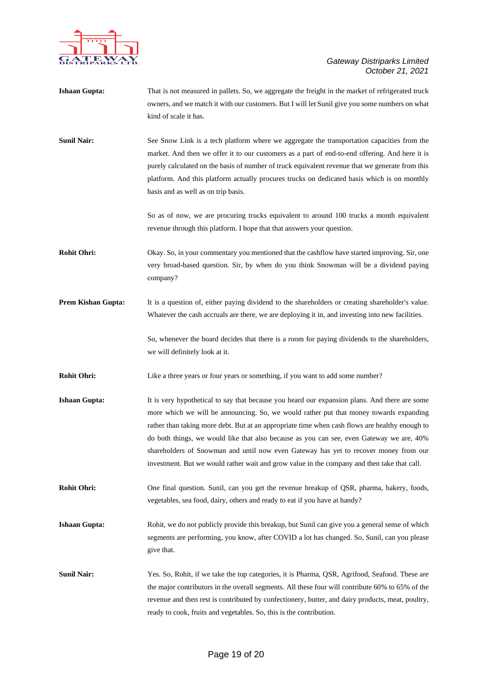

| <b>Ishaan Gupta:</b>      | That is not measured in pallets. So, we aggregate the freight in the market of refrigerated truck<br>owners, and we match it with our customers. But I will let Sunil give you some numbers on what<br>kind of scale it has.                                                                                                                                                                                                                                                                                                                                                 |
|---------------------------|------------------------------------------------------------------------------------------------------------------------------------------------------------------------------------------------------------------------------------------------------------------------------------------------------------------------------------------------------------------------------------------------------------------------------------------------------------------------------------------------------------------------------------------------------------------------------|
| <b>Sunil Nair:</b>        | See Snow Link is a tech platform where we aggregate the transportation capacities from the<br>market. And then we offer it to our customers as a part of end-to-end offering. And here it is<br>purely calculated on the basis of number of truck equivalent revenue that we generate from this<br>platform. And this platform actually procures trucks on dedicated basis which is on monthly<br>basis and as well as on trip basis.                                                                                                                                        |
|                           | So as of now, we are procuring trucks equivalent to around 100 trucks a month equivalent<br>revenue through this platform. I hope that that answers your question.                                                                                                                                                                                                                                                                                                                                                                                                           |
| <b>Rohit Ohri:</b>        | Okay. So, in your commentary you mentioned that the cashflow have started improving. Sir, one<br>very broad-based question. Sir, by when do you think Snowman will be a dividend paying<br>company?                                                                                                                                                                                                                                                                                                                                                                          |
| <b>Prem Kishan Gupta:</b> | It is a question of, either paying dividend to the shareholders or creating shareholder's value.<br>Whatever the cash accruals are there, we are deploying it in, and investing into new facilities.                                                                                                                                                                                                                                                                                                                                                                         |
|                           | So, whenever the board decides that there is a room for paying dividends to the shareholders,<br>we will definitely look at it.                                                                                                                                                                                                                                                                                                                                                                                                                                              |
| <b>Rohit Ohri:</b>        | Like a three years or four years or something, if you want to add some number?                                                                                                                                                                                                                                                                                                                                                                                                                                                                                               |
| <b>Ishaan Gupta:</b>      | It is very hypothetical to say that because you heard our expansion plans. And there are some<br>more which we will be announcing. So, we would rather put that money towards expanding<br>rather than taking more debt. But at an appropriate time when cash flows are healthy enough to<br>do both things, we would like that also because as you can see, even Gateway we are, 40%<br>shareholders of Snowman and until now even Gateway has yet to recover money from our<br>investment. But we would rather wait and grow value in the company and then take that call. |
| <b>Rohit Ohri:</b>        | One final question. Sunil, can you get the revenue breakup of QSR, pharma, bakery, foods,<br>vegetables, sea food, dairy, others and ready to eat if you have at handy?                                                                                                                                                                                                                                                                                                                                                                                                      |
| <b>Ishaan Gupta:</b>      | Rohit, we do not publicly provide this breakup, but Sunil can give you a general sense of which<br>segments are performing, you know, after COVID a lot has changed. So, Sunil, can you please<br>give that.                                                                                                                                                                                                                                                                                                                                                                 |
| <b>Sunil Nair:</b>        | Yes. So, Rohit, if we take the top categories, it is Pharma, QSR, Agrifood, Seafood. These are<br>the major contributors in the overall segments. All these four will contribute 60% to 65% of the<br>revenue and then rest is contributed by confectionery, butter, and dairy products, meat, poultry,<br>ready to cook, fruits and vegetables. So, this is the contribution.                                                                                                                                                                                               |